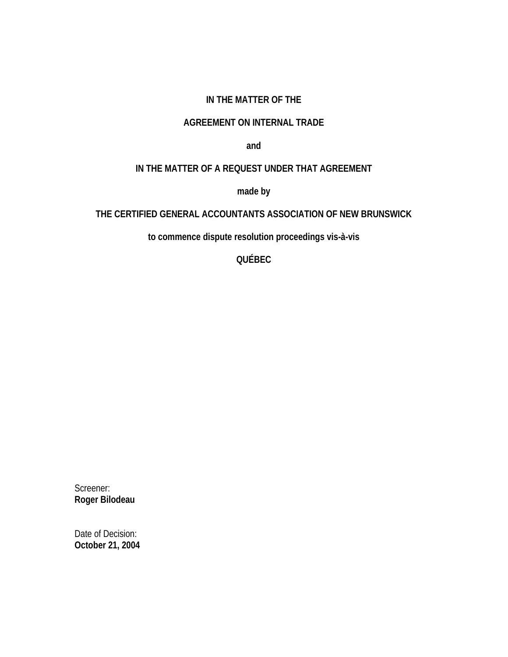#### **IN THE MATTER OF THE**

#### **AGREEMENT ON INTERNAL TRADE**

**and** 

# **IN THE MATTER OF A REQUEST UNDER THAT AGREEMENT**

**made by** 

## **THE CERTIFIED GENERAL ACCOUNTANTS ASSOCIATION OF NEW BRUNSWICK**

**to commence dispute resolution proceedings vis-à-vis** 

**QUÉBEC** 

Screener: **Roger Bilodeau** 

Date of Decision: **October 21, 2004**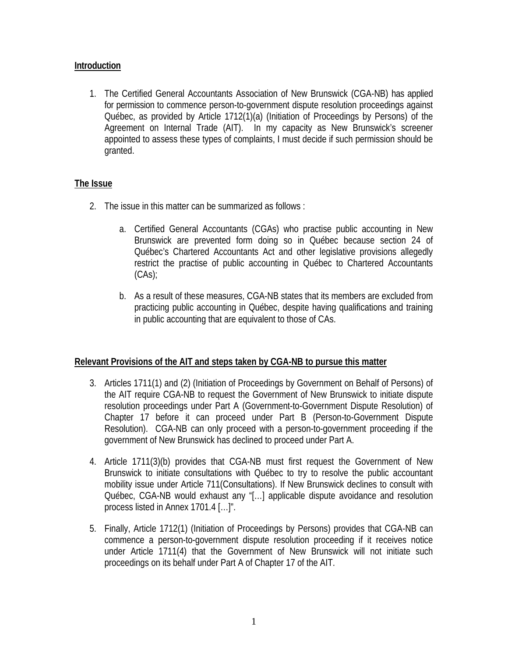### **Introduction**

1. The Certified General Accountants Association of New Brunswick (CGA-NB) has applied for permission to commence person-to-government dispute resolution proceedings against Québec, as provided by Article 1712(1)(a) (Initiation of Proceedings by Persons) of the Agreement on Internal Trade (AIT). In my capacity as New Brunswick's screener appointed to assess these types of complaints, I must decide if such permission should be granted.

#### **The Issue**

- 2. The issue in this matter can be summarized as follows :
	- a. Certified General Accountants (CGAs) who practise public accounting in New Brunswick are prevented form doing so in Québec because section 24 of Québec's Chartered Accountants Act and other legislative provisions allegedly restrict the practise of public accounting in Québec to Chartered Accountants  $(CAs)$ ;
	- b. As a result of these measures, CGA-NB states that its members are excluded from practicing public accounting in Québec, despite having qualifications and training in public accounting that are equivalent to those of CAs.

#### **Relevant Provisions of the AIT and steps taken by CGA-NB to pursue this matter**

- 3. Articles 1711(1) and (2) (Initiation of Proceedings by Government on Behalf of Persons) of the AIT require CGA-NB to request the Government of New Brunswick to initiate dispute resolution proceedings under Part A (Government-to-Government Dispute Resolution) of Chapter 17 before it can proceed under Part B (Person-to-Government Dispute Resolution). CGA-NB can only proceed with a person-to-government proceeding if the government of New Brunswick has declined to proceed under Part A.
- 4. Article 1711(3)(b) provides that CGA-NB must first request the Government of New Brunswick to initiate consultations with Québec to try to resolve the public accountant mobility issue under Article 711(Consultations). If New Brunswick declines to consult with Québec, CGA-NB would exhaust any "[…] applicable dispute avoidance and resolution process listed in Annex 1701.4 […]".
- 5. Finally, Article 1712(1) (Initiation of Proceedings by Persons) provides that CGA-NB can commence a person-to-government dispute resolution proceeding if it receives notice under Article 1711(4) that the Government of New Brunswick will not initiate such proceedings on its behalf under Part A of Chapter 17 of the AIT.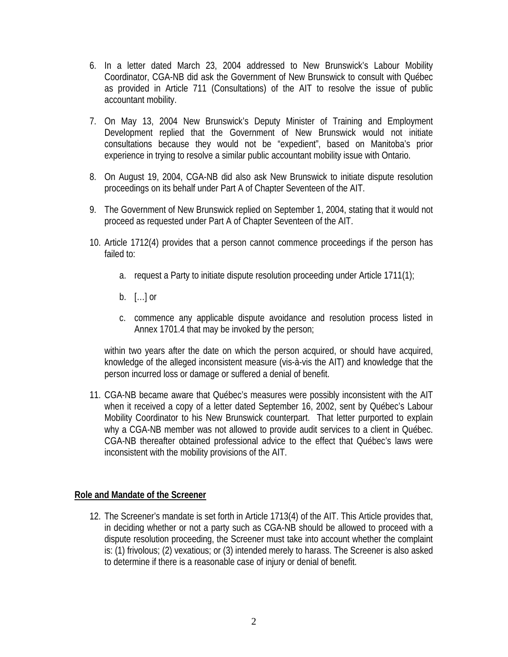- 6. In a letter dated March 23, 2004 addressed to New Brunswick's Labour Mobility Coordinator, CGA-NB did ask the Government of New Brunswick to consult with Québec as provided in Article 711 (Consultations) of the AIT to resolve the issue of public accountant mobility.
- 7. On May 13, 2004 New Brunswick's Deputy Minister of Training and Employment Development replied that the Government of New Brunswick would not initiate consultations because they would not be "expedient", based on Manitoba's prior experience in trying to resolve a similar public accountant mobility issue with Ontario.
- 8. On August 19, 2004, CGA-NB did also ask New Brunswick to initiate dispute resolution proceedings on its behalf under Part A of Chapter Seventeen of the AIT.
- 9. The Government of New Brunswick replied on September 1, 2004, stating that it would not proceed as requested under Part A of Chapter Seventeen of the AIT.
- 10. Article 1712(4) provides that a person cannot commence proceedings if the person has failed to:
	- a. request a Party to initiate dispute resolution proceeding under Article 1711(1);
	- b.  $[\dots]$  or
	- c. commence any applicable dispute avoidance and resolution process listed in Annex 1701.4 that may be invoked by the person;

within two years after the date on which the person acquired, or should have acquired, knowledge of the alleged inconsistent measure (vis-à-vis the AIT) and knowledge that the person incurred loss or damage or suffered a denial of benefit.

11. CGA-NB became aware that Québec's measures were possibly inconsistent with the AIT when it received a copy of a letter dated September 16, 2002, sent by Québec's Labour Mobility Coordinator to his New Brunswick counterpart. That letter purported to explain why a CGA-NB member was not allowed to provide audit services to a client in Québec. CGA-NB thereafter obtained professional advice to the effect that Québec's laws were inconsistent with the mobility provisions of the AIT.

#### **Role and Mandate of the Screener**

12. The Screener's mandate is set forth in Article 1713(4) of the AIT. This Article provides that, in deciding whether or not a party such as CGA-NB should be allowed to proceed with a dispute resolution proceeding, the Screener must take into account whether the complaint is: (1) frivolous; (2) vexatious; or (3) intended merely to harass. The Screener is also asked to determine if there is a reasonable case of injury or denial of benefit.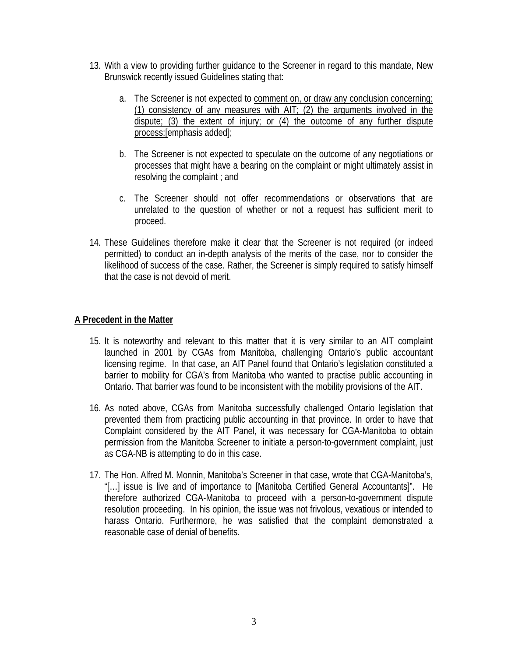- 13. With a view to providing further guidance to the Screener in regard to this mandate, New Brunswick recently issued Guidelines stating that:
	- a. The Screener is not expected to comment on, or draw any conclusion concerning: (1) consistency of any measures with AIT; (2) the arguments involved in the dispute; (3) the extent of injury; or (4) the outcome of any further dispute process:[emphasis added];
	- b. The Screener is not expected to speculate on the outcome of any negotiations or processes that might have a bearing on the complaint or might ultimately assist in resolving the complaint ; and
	- c. The Screener should not offer recommendations or observations that are unrelated to the question of whether or not a request has sufficient merit to proceed.
- 14. These Guidelines therefore make it clear that the Screener is not required (or indeed permitted) to conduct an in-depth analysis of the merits of the case, nor to consider the likelihood of success of the case. Rather, the Screener is simply required to satisfy himself that the case is not devoid of merit.

#### **A Precedent in the Matter**

- 15. It is noteworthy and relevant to this matter that it is very similar to an AIT complaint launched in 2001 by CGAs from Manitoba, challenging Ontario's public accountant licensing regime. In that case, an AIT Panel found that Ontario's legislation constituted a barrier to mobility for CGA's from Manitoba who wanted to practise public accounting in Ontario. That barrier was found to be inconsistent with the mobility provisions of the AIT.
- 16. As noted above, CGAs from Manitoba successfully challenged Ontario legislation that prevented them from practicing public accounting in that province. In order to have that Complaint considered by the AIT Panel, it was necessary for CGA-Manitoba to obtain permission from the Manitoba Screener to initiate a person-to-government complaint, just as CGA-NB is attempting to do in this case.
- 17. The Hon. Alfred M. Monnin, Manitoba's Screener in that case, wrote that CGA-Manitoba's, "[…] issue is live and of importance to [Manitoba Certified General Accountants]". He therefore authorized CGA-Manitoba to proceed with a person-to-government dispute resolution proceeding. In his opinion, the issue was not frivolous, vexatious or intended to harass Ontario. Furthermore, he was satisfied that the complaint demonstrated a reasonable case of denial of benefits.